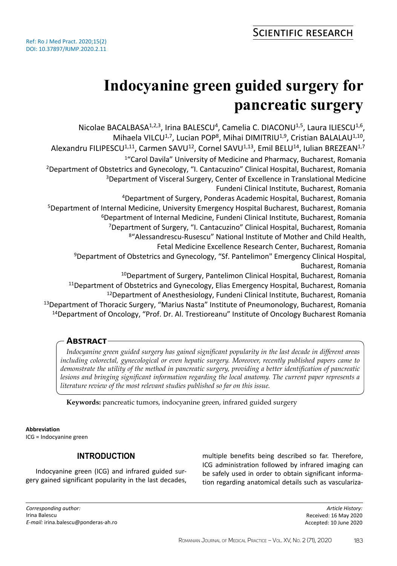# **Indocyanine green guided surgery for pancreatic surgery**

Nicolae BACALBASA<sup>1,2,3</sup>, Irina BALESCU<sup>4</sup>, Camelia C. DIACONU<sup>1,5</sup>, Laura ILIESCU<sup>1,6</sup>, Mihaela VILCU<sup>1,7</sup>, Lucian POP<sup>8</sup>, Mihai DIMITRIU<sup>1,9</sup>, Cristian BALALAU<sup>1,10</sup>, Alexandru FILIPESCU<sup>1,11</sup>, Carmen SAVU<sup>12</sup>, Cornel SAVU<sup>1,13</sup>, Emil BELU<sup>14</sup>, Iulian BREZEAN<sup>1,7</sup> <sup>1</sup>"Carol Davila" University of Medicine and Pharmacy, Bucharest, Romania <sup>2</sup>Department of Obstetrics and Gynecology, "I. Cantacuzino" Clinical Hospital, Bucharest, Romania <sup>3</sup>Department of Visceral Surgery, Center of Excellence in Translational Medicine Fundeni Clinical Institute, Bucharest, Romania <sup>4</sup>Department of Surgery, Ponderas Academic Hospital, Bucharest, Romania <sup>5</sup>Department of Internal Medicine, University Emergency Hospital Bucharest, Bucharest, Romania <sup>6</sup>Department of Internal Medicine, Fundeni Clinical Institute, Bucharest, Romania <sup>7</sup>Department of Surgery, "I. Cantacuzino" Clinical Hospital, Bucharest, Romania <sup>8</sup>"Alessandrescu-Rusescu" National Institute of Mother and Child Health, Fetal Medicine Excellence Research Center, Bucharest, Romania <sup>9</sup>Department of Obstetrics and Gynecology, "Sf. Pantelimon" Emergency Clinical Hospital, Bucharest, Romania <sup>10</sup>Department of Surgery, Pantelimon Clinical Hospital, Bucharest, Romania <sup>11</sup>Department of Obstetrics and Gynecology, Elias Emergency Hospital, Bucharest, Romania <sup>12</sup>Department of Anesthesiology, Fundeni Clinical Institute, Bucharest, Romania <sup>13</sup>Department of Thoracic Surgery, "Marius Nasta" Institute of Pneumonology, Bucharest, Romania <sup>14</sup>Department of Oncology, "Prof. Dr. Al. Trestioreanu" Institute of Oncology Bucharest Romania

# **Abstract**

*Indocyanine green guided surgery has gained significant popularity in the last decade in different areas including colorectal, gynecological or even hepatic surgery. Moreover, recently published papers came to demonstrate the utility of the method in pancreatic surgery, providing a better identification of pancreatic lesions and bringing significant information regarding the local anatomy. The current paper represents a literature review of the most relevant studies published so far on this issue.*

**Keywords:** pancreatic tumors, indocyanine green, infrared guided surgery

## **Abbreviation**

ICG = Indocyanine green

# **INTRODUCTION**

Indocyanine green (ICG) and infrared guided surgery gained significant popularity in the last decades, multiple benefits being described so far. Therefore, ICG administration followed by infrared imaging can be safely used in order to obtain significant information regarding anatomical details such as vasculariza-

*Article History:* Received: 16 May 2020 Accepted: 10 June 2020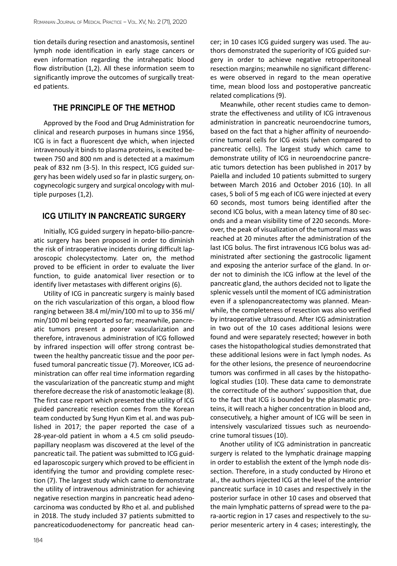tion details during resection and anastomosis, sentinel lymph node identification in early stage cancers or even information regarding the intrahepatic blood flow distribution (1,2). All these information seem to significantly improve the outcomes of surgically treated patients.

# **THE PRINCIPLE OF THE METHOD**

Approved by the Food and Drug Administration for clinical and research purposes in humans since 1956, ICG is in fact a fluorescent dye which, when injected intravenously it binds to plasma proteins, is excited between 750 and 800 nm and is detected at a maximum peak of 832 nm (3-5). In this respect, ICG guided surgery has been widely used so far in plastic surgery, oncogynecologic surgery and surgical oncology with multiple purposes (1,2).

### **ICG UTILITY IN PANCREATIC SURGERY**

Initially, ICG guided surgery in hepato-bilio-pancreatic surgery has been proposed in order to diminish the risk of intraoperative incidents during difficult laparoscopic cholecystectomy. Later on, the method proved to be efficient in order to evaluate the liver function, to guide anatomical liver resection or to identify liver metastases with different origins (6).

Utility of ICG in pancreatic surgery is mainly based on the rich vascularization of this organ, a blood flow ranging between 38.4 ml/min/100 ml to up to 356 ml/ min/100 ml being reported so far; meanwhile, pancreatic tumors present a poorer vascularization and therefore, intravenous administration of ICG followed by infrared inspection will offer strong contrast between the healthy pancreatic tissue and the poor perfused tumoral pancreatic tissue (7). Moreover, ICG administration can offer real time information regarding the vascularization of the pancreatic stump and might therefore decrease the risk of anastomotic leakage (8). The first case report which presented the utility of ICG guided pancreatic resection comes from the Korean team conducted by Sung Hyun Kim et al. and was published in 2017; the paper reported the case of a 28-year-old patient in whom a 4.5 cm solid pseudopapillary neoplasm was discovered at the level of the pancreatic tail. The patient was submitted to ICG guided laparoscopic surgery which proved to be efficient in identifying the tumor and providing complete resection (7). The largest study which came to demonstrate the utility of intravenous administration for achieving negative resection margins in pancreatic head adenocarcinoma was conducted by Rho et al. and published in 2018. The study included 37 patients submitted to pancreaticoduodenectomy for pancreatic head cancer; in 10 cases ICG guided surgery was used. The authors demonstrated the superiority of ICG guided surgery in order to achieve negative retroperitoneal resection margins; meanwhile no significant differences were observed in regard to the mean operative time, mean blood loss and postoperative pancreatic related complications (9).

Meanwhile, other recent studies came to demonstrate the effectiveness and utility of ICG intravenous administration in pancreatic neuroendocrine tumors, based on the fact that a higher affinity of neuroendocrine tumoral cells for ICG exists (when compared to pancreatic cells). The largest study which came to demonstrate utility of ICG in neuroendocrine pancreatic tumors detection has been published in 2017 by Paiella and included 10 patients submitted to surgery between March 2016 and October 2016 (10). In all cases, 5 boli of 5 mg each of ICG were injected at every 60 seconds, most tumors being identified after the second ICG bolus, with a mean latency time of 80 seconds and a mean visibility time of 220 seconds. Moreover, the peak of visualization of the tumoral mass was reached at 20 minutes after the administration of the last ICG bolus. The first intravenous ICG bolus was administrated after sectioning the gastrocolic ligament and exposing the anterior surface of the gland. In order not to diminish the ICG inflow at the level of the pancreatic gland, the authors decided not to ligate the splenic vessels until the moment of ICG administration even if a splenopancreatectomy was planned. Meanwhile, the completeness of resection was also verified by intraoperative ultrasound. After ICG administration in two out of the 10 cases additional lesions were found and were separately resected; however in both cases the histopathological studies demonstrated that these additional lesions were in fact lymph nodes. As for the other lesions, the presence of neuroendocrine tumors was confirmed in all cases by the histopathological studies (10). These data came to demonstrate the correctitude of the authors' supposition that, due to the fact that ICG is bounded by the plasmatic proteins, it will reach a higher concentration in blood and, consecutively, a higher amount of ICG will be seen in intensively vascularized tissues such as neuroendocrine tumoral tissues (10).

Another utility of ICG administration in pancreatic surgery is related to the lymphatic drainage mapping in order to establish the extent of the lymph node dissection. Therefore, in a study conducted by Hirono et al., the authors injected ICG at the level of the anterior pancreatic surface in 10 cases and respectively in the posterior surface in other 10 cases and observed that the main lymphatic patterns of spread were to the para-aortic region in 17 cases and respectively to the superior mesenteric artery in 4 cases; interestingly, the